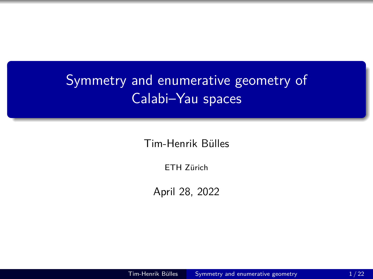## <span id="page-0-0"></span>Symmetry and enumerative geometry of Calabi–Yau spaces

Tim-Henrik Bülles

ETH Zürich

April 28, 2022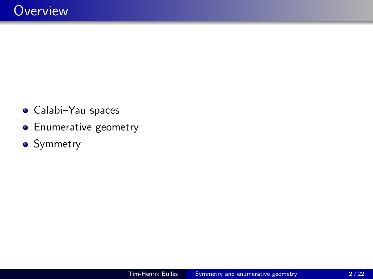- Calabi–Yau spaces
- **•** Enumerative geometry
- Symmetry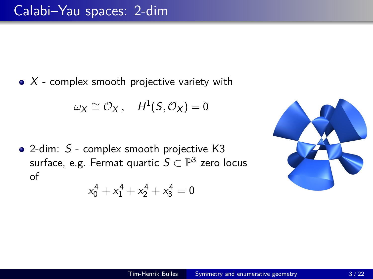$\bullet$  X - complex smooth projective variety with

$$
\omega_X \cong \mathcal{O}_X\,,\quad H^1(S,\mathcal{O}_X)=0
$$

• 2-dim: S - complex smooth projective K3 surface, e.g. Fermat quartic  $S \subset \mathbb{P}^3$  zero locus of

$$
x_0^4 + x_1^4 + x_2^4 + x_3^4 = 0
$$

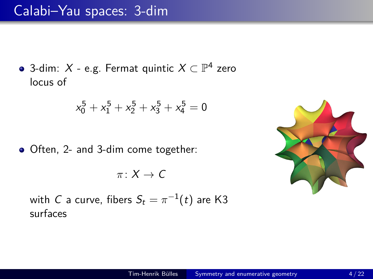3-dim:  $X$  - e.g. Fermat quintic  $X \subset \mathbb{P}^4$  zero locus of

$$
x_0^5 + x_1^5 + x_2^5 + x_3^5 + x_4^5 = 0
$$

• Often, 2- and 3-dim come together:

$$
\pi\colon X\to \mathsf{C}
$$

with  $C$  a curve, fibers  $S_t = \pi^{-1}(t)$  are K3 surfaces

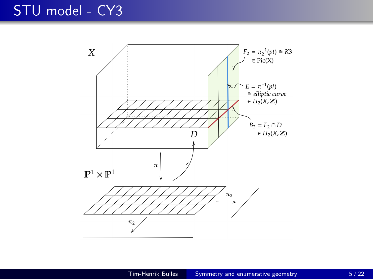### STU model - CY3

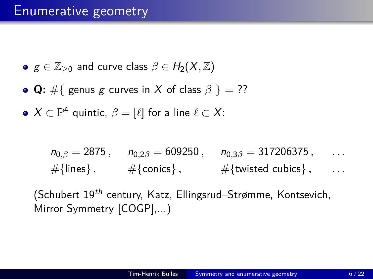• 
$$
g \in \mathbb{Z}_{\geq 0}
$$
 and curve class  $\beta \in H_2(X, \mathbb{Z})$ 

- **Q:** #{ genus g curves in X of class  $\beta$  } = ??
- $X \subset \mathbb{P}^4$  quintic,  $\beta = [\ell]$  for a line  $\ell \subset X$ :

$$
n_{0,\beta} = 2875
$$
,  $n_{0,2\beta} = 609250$ ,  $n_{0,3\beta} = 317206375$ , ...  
\n $\#\{\text{lines}\}$ ,  $\#\{\text{conics}\}$ ,  $\#\{\text{twisted cubics}\}$ , ...

(Schubert 19<sup>th</sup> century, Katz, Ellingsrud–Strømme, Kontsevich, Mirror Symmetry [COGP],...)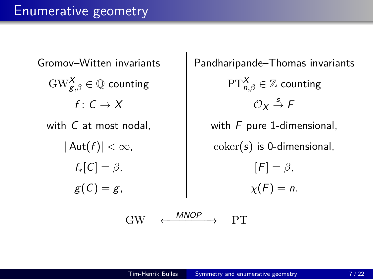Gromov–Witten invariants | Pandharipande–Thomas invariants  $\mathrm{GW}_{\mathcal{g},\beta}^{\boldsymbol{X}}\in\mathbb{Q}$  counting  $\begin{array}{ccc} \mathrm{PT}_{n}^{\boldsymbol{X}}\end{array}$  $PT_{n\beta}^{\chi} \in \mathbb{Z}$  counting  $f: C \rightarrow X$  $\mathcal{O}_Y \stackrel{s}{\rightarrow} F$ with  $C$  at most nodal,  $\qquad \qquad$  with  $F$  pure 1-dimensional,  $|\mathsf{Aut}(f)| < \infty$ ,  $|\qquad \text{coker}(s)$  is 0-dimensional,  $f_*[C] = \beta$ ,  $[F] = \beta$ ,  $g(C) = g$ ,  $\chi(F) = n$ .

 $GW \leftarrow \frac{MNOP}{P} \rightarrow PT$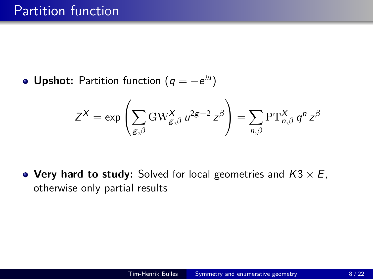**Upshot:** Partition function  $(q = -e^{iu})$ 

$$
Z^X = \exp\left(\sum_{g,\beta} \text{GW}_{g,\beta}^X u^{2g-2} z^{\beta}\right) = \sum_{n,\beta} \text{PT}_{n,\beta}^X q^n z^{\beta}
$$

**• Very hard to study:** Solved for local geometries and  $K3 \times E$ , otherwise only partial results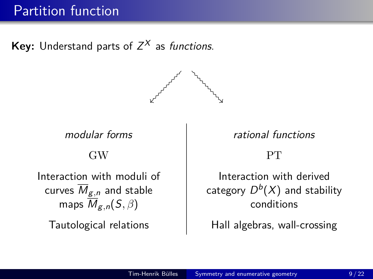### Partition function

**Key:** Understand parts of  $Z^X$  as *functions.* 



GW PT

Interaction with moduli of curves  $\overline{M}_{g,n}$  and stable maps  $\overline{M}_{g,n}(S,\beta)$ 

modular forms and the rational functions

Interaction with derived category  $D^b(X)$  and stability conditions

Tautological relations Tautological relations and Hall algebras, wall-crossing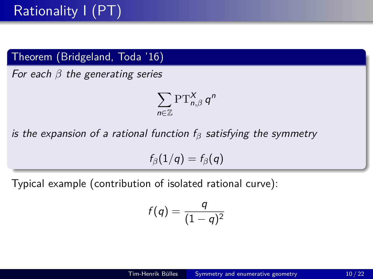#### Theorem (Bridgeland, Toda '16)

For each *β* the generating series

$$
\sum_{n\in\mathbb{Z}}\operatorname{PT}_{n,\beta}^X q^n
$$

is the expansion of a rational function  $f_\beta$  satisfying the symmetry

 $f_{\beta}(1/q) = f_{\beta}(q)$ 

Typical example (contribution of isolated rational curve):

$$
f(q)=\frac{q}{(1-q)^2}
$$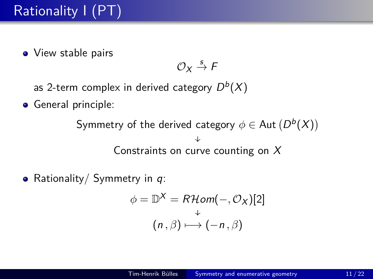• View stable pairs

$$
\mathcal{O}_X \stackrel{s}{\to} \digamma
$$

as 2-term complex in derived category  $D^b(X)$ 

**General principle:** 

Symmetry of the derived category  $\phi \in$  Aut  $(D^b(X))$ ↓ Constraints on curve counting on X

• Rationality/ Symmetry in  $q$ :

$$
\phi = \mathbb{D}^X = R\mathcal{H}om(-, \mathcal{O}_X)[2]
$$

$$
(n, \beta) \mapsto (-n, \beta)
$$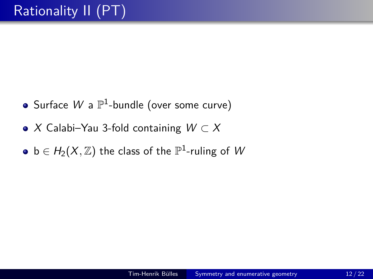- Surface  $W$  a  $\mathbb{P}^1$ -bundle (over some curve)
- X Calabi–Yau 3-fold containing  $W \subset X$
- $\mathsf{b}\in H_2(X,\mathbb{Z})$  the class of the  $\mathbb{P}^1\text{-ruling}$  of  $W$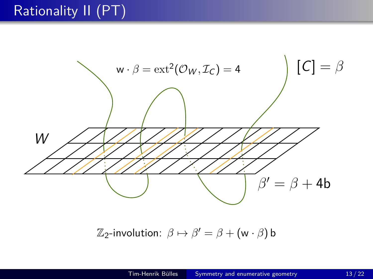## Rationality II (PT)



 $\mathbb{Z}_2$ -involution:  $\beta \mapsto \beta' = \beta + (\mathsf{w} \cdot \beta)$  b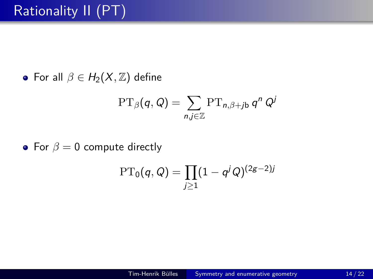• For all  $\beta \in H_2(X, \mathbb{Z})$  define

$$
\mathrm{PT}_{\beta}(q,Q) = \sum_{n,j \in \mathbb{Z}} \mathrm{PT}_{n,\beta+j\mathsf{b}} \, q^n \, Q^j
$$

• For  $\beta = 0$  compute directly

$$
\mathrm{PT}_0(q,Q) = \prod_{j\geq 1} (1-q^j Q)^{(2g-2)j}
$$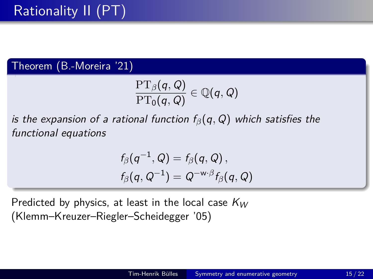Theorem (B.-Moreira '21)

$$
\frac{\operatorname{PT}_\beta(q,Q)}{\operatorname{PT}_0(q,Q)}\in\mathbb{Q}(q,Q)
$$

is the expansion of a rational function f*β*(q*,* Q) which satisfies the functional equations

$$
f_{\beta}(q^{-1},Q) = f_{\beta}(q,Q),
$$
  

$$
f_{\beta}(q,Q^{-1}) = Q^{-w \cdot \beta} f_{\beta}(q,Q)
$$

Predicted by physics, at least in the local case  $K_W$ (Klemm–Kreuzer–Riegler–Scheidegger '05)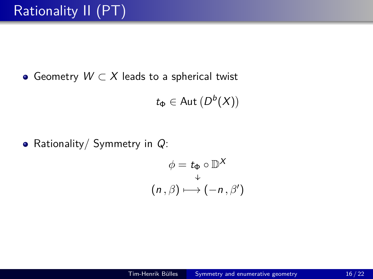$\bullet$  Geometry  $W \subset X$  leads to a spherical twist

$$
t_{\Phi} \in \text{Aut}\left(D^b(X)\right)
$$

• Rationality/ Symmetry in  $Q$ :

$$
\phi = t_{\Phi} \circ \mathbb{D}^{\mathsf{X}}
$$

$$
(n, \beta) \longmapsto (-n, \beta')
$$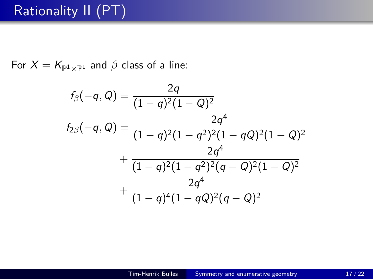## Rationality II (PT)

For  $X = K_{\mathbb{P}^1 \times \mathbb{P}^1}$  and  $\beta$  class of a line:

$$
f_{\beta}(-q, Q) = \frac{2q}{(1-q)^2(1-Q)^2}
$$
  
\n
$$
f_{2\beta}(-q, Q) = \frac{2q^4}{(1-q)^2(1-q^2)^2(1-qQ)^2(1-Q)^2}
$$
  
\n
$$
+ \frac{2q^4}{(1-q)^2(1-q^2)^2(q-Q)^2(1-Q)^2}
$$
  
\n
$$
+ \frac{2q^4}{(1-q)^4(1-qQ)^2(q-Q)^2}
$$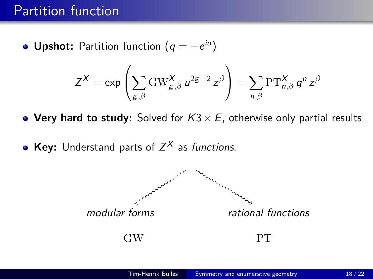### Partition function

**Upshot:** Partition function  $(q = -e^{iu})$ 

$$
Z^X = \exp\left(\sum_{g,\beta} \text{GW}_{g,\beta}^X u^{2g-2} z^{\beta}\right) = \sum_{n,\beta} \text{PT}_{n,\beta}^X q^n z^{\beta}
$$

**• Very hard to study:** Solved for  $K3 \times E$ , otherwise only partial results

**Key:** Understand parts of  $Z^X$  as *functions.* 

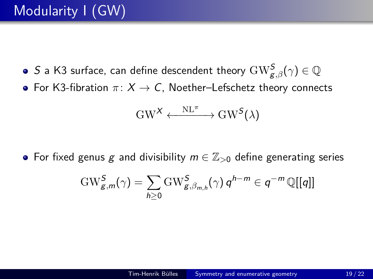- $S$  a K3 surface, can define descendent theory  $\mathrm{GW}_{\mathcal{g},\beta}^{\mathcal{S}}(\gamma)\in \mathbb{Q}$
- For K3-fibration  $\pi: X \to C$ , Noether–Lefschetz theory connects

$$
\mathrm{GW}^\mathcal{X}\xleftarrow{\phantom{X}\mathrm{NL}^\pi\phantom{X}}\mathrm{GW}^\mathcal{S}(\lambda)
$$

• For fixed genus g and divisibility  $m \in \mathbb{Z}_{>0}$  define generating series

$$
\mathrm{GW}_{g,m}^S(\gamma)=\sum_{h\geq 0}\mathrm{GW}_{g,\beta_{m,h}}^S(\gamma)\,q^{h-m}\in q^{-m}\,\mathbb{Q}[[q]]
$$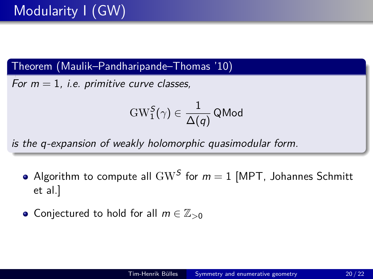Theorem (Maulik–Pandharipande–Thomas '10)

For  $m = 1$ , i.e. primitive curve classes,

$$
\operatorname{GW}_1^{\textsf{S}}(\gamma) \in \frac{1}{\Delta(q)}\operatorname{\mathsf{QMod}}\nolimits
$$

is the q-expansion of weakly holomorphic quasimodular form.

- Algorithm to compute all  $\mathrm{GW}^S$  for  $m=1$  [MPT, Johannes Schmitt et al.]
- **•** Conjectured to hold for all *m* ∈  $\mathbb{Z}_{>0}$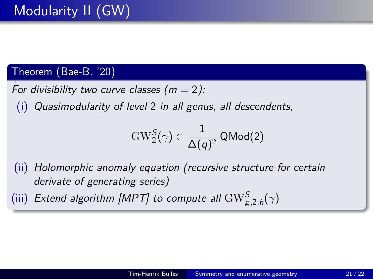#### Theorem (Bae-B. '20)

For divisibility two curve classes  $(m = 2)$ :

(i) Quasimodularity of level 2 in all genus, all descendents,

$$
\mathrm{GW}_2^S(\gamma) \in \frac{1}{\Delta(q)^2} \, \mathsf{QMod}(2)
$$

- (ii) Holomorphic anomaly equation (recursive structure for certain derivate of generating series)
- (iii) Extend algorithm [MPT] to compute all  $\text{GW}^{\mathcal{S}}_{\mathcal{g},2,h}(\gamma)$